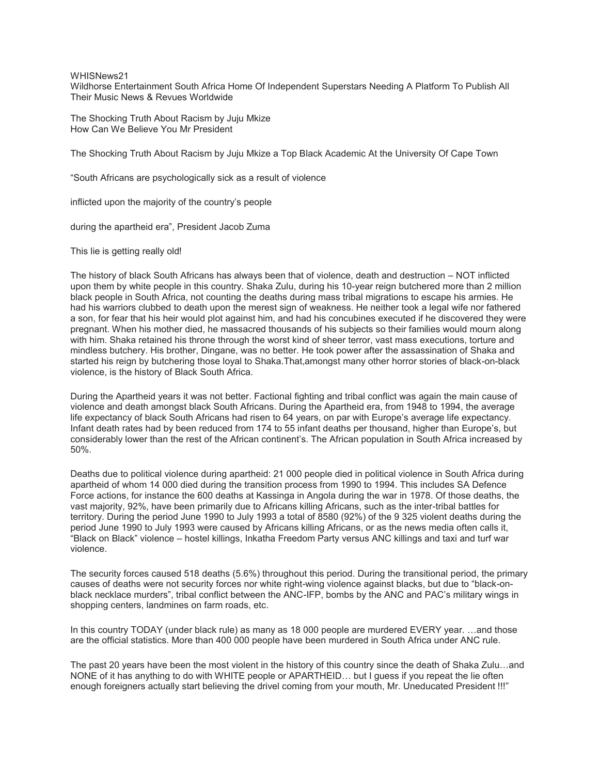WHISNews21

Wildhorse Entertainment South Africa Home Of Independent Superstars Needing A Platform To Publish All Their Music News & Revues Worldwide

The Shocking Truth About Racism by Juju Mkize How Can We Believe You Mr President

The Shocking Truth About Racism by Juju Mkize a Top Black Academic At the University Of Cape Town

"South Africans are psychologically sick as a result of violence

inflicted upon the majority of the country's people

during the apartheid era", President Jacob Zuma

This lie is getting really old!

The history of black South Africans has always been that of violence, death and destruction – NOT inflicted upon them by white people in this country. Shaka Zulu, during his 10-year reign butchered more than 2 million black people in South Africa, not counting the deaths during mass tribal migrations to escape his armies. He had his warriors clubbed to death upon the merest sign of weakness. He neither took a legal wife nor fathered a son, for fear that his heir would plot against him, and had his concubines executed if he discovered they were pregnant. When his mother died, he massacred thousands of his subjects so their families would mourn along with him. Shaka retained his throne through the worst kind of sheer terror, vast mass executions, torture and mindless butchery. His brother, Dingane, was no better. He took power after the assassination of Shaka and started his reign by butchering those loyal to Shaka.That,amongst many other horror stories of black-on-black violence, is the history of Black South Africa.

During the Apartheid years it was not better. Factional fighting and tribal conflict was again the main cause of violence and death amongst black South Africans. During the Apartheid era, from 1948 to 1994, the average life expectancy of black South Africans had risen to 64 years, on par with Europe's average life expectancy. Infant death rates had by been reduced from 174 to 55 infant deaths per thousand, higher than Europe's, but considerably lower than the rest of the African continent's. The African population in South Africa increased by 50%.

Deaths due to political violence during apartheid: 21 000 people died in political violence in South Africa during apartheid of whom 14 000 died during the transition process from 1990 to 1994. This includes SA Defence Force actions, for instance the 600 deaths at Kassinga in Angola during the war in 1978. Of those deaths, the vast majority, 92%, have been primarily due to Africans killing Africans, such as the inter-tribal battles for territory. During the period June 1990 to July 1993 a total of 8580 (92%) of the 9 325 violent deaths during the period June 1990 to July 1993 were caused by Africans killing Africans, or as the news media often calls it, "Black on Black" violence – hostel killings, Inkatha Freedom Party versus ANC killings and taxi and turf war violence.

The security forces caused 518 deaths (5.6%) throughout this period. During the transitional period, the primary causes of deaths were not security forces nor white right-wing violence against blacks, but due to "black-onblack necklace murders", tribal conflict between the ANC-IFP, bombs by the ANC and PAC's military wings in shopping centers, landmines on farm roads, etc.

In this country TODAY (under black rule) as many as 18 000 people are murdered EVERY year. …and those are the official statistics. More than 400 000 people have been murdered in South Africa under ANC rule.

The past 20 years have been the most violent in the history of this country since the death of Shaka Zulu…and NONE of it has anything to do with WHITE people or APARTHEID… but I guess if you repeat the lie often enough foreigners actually start believing the drivel coming from your mouth, Mr. Uneducated President !!!"